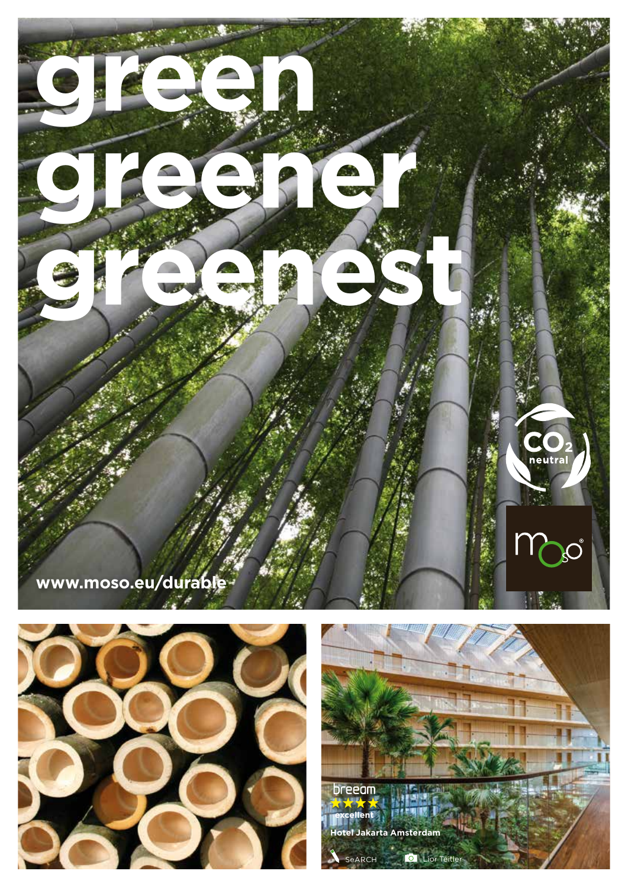



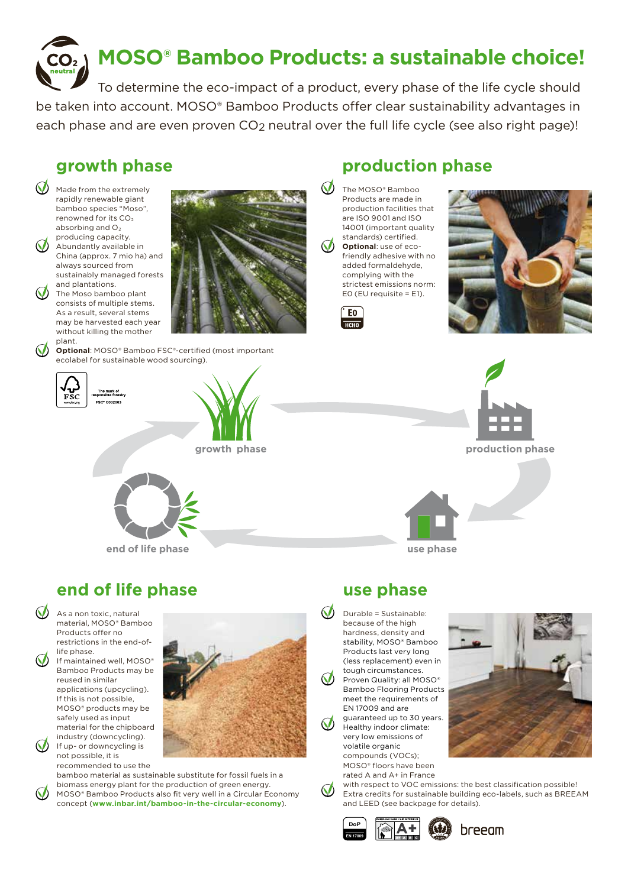

To determine the eco-impact of a product, every phase of the life cycle should be taken into account. MOSO® Bamboo Products offer clear sustainability advantages in each phase and are even proven CO2 neutral over the full life cycle (see also right page)!

## **growth phase**

 $\bigcirc$  Made from the extremely rapidly renewable giant bamboo species "Moso", renowned for its CO2 absorbing and O<sub>2</sub> producing capacity. (V) Abundantly available in China (approx. 7 mio ha) and always sourced from sustainably managed forests and plantations.

 $\bigcirc$  The Moso bamboo plant consists of multiple stems. As a result, several stems may be harvested each year without killing the mother plant.

> **Optional**: MOSO® Bamboo FSC®-certified (most important ecolabel for sustainable wood sourcing).



 $\mathcal{O}$ 

The mark of<br>ponsible forestry ESCE COOPOR



## **production phase**

The MOSO<sup>®</sup> Bamboo Products are made in production facilities that are ISO 9001 and ISO 14001 (important quality standards) certified. **Optional**: use of ecofriendly adhesive with no added formaldehyde, complying with the strictest emissions norm: E0 (EU requisite = E1).









**end of life phase**

As a non toxic, natural material, MOSO® Bamboo Products offer no restrictions in the end-oflife phase.

If maintained well, MOSO® Bamboo Products may be reused in similar applications (upcycling). If this is not possible, MOSO® products may be safely used as input material for the chipboard industry (downcycling).

If up- or downcycling is not possible, it is recommended to use the



bamboo material as sustainable substitute for fossil fuels in a biomass energy plant for the production of green energy. MOSO® Bamboo Products also fit very well in a Circular Economy concept (**www.inbar.int/bamboo-in-the-circular-economy**).

### **use phase**

 $\bigcirc$  Durable = Sustainable: because of the high hardness, density and stability, MOSO® Bamboo Products last very long (less replacement) even in tough circumstances. Proven Quality: all MOSO® Bamboo Flooring Products meet the requirements of EN 17009 and are guaranteed up to 30 years. Healthy indoor climate: very low emissions of volatile organic compounds (VOCs); MOSO® floors have been rated A and A+ in France



with respect to VOC emissions: the best classification possible! Extra credits for sustainable building eco-labels, such as BREEAM and LEED (see backpage for details).





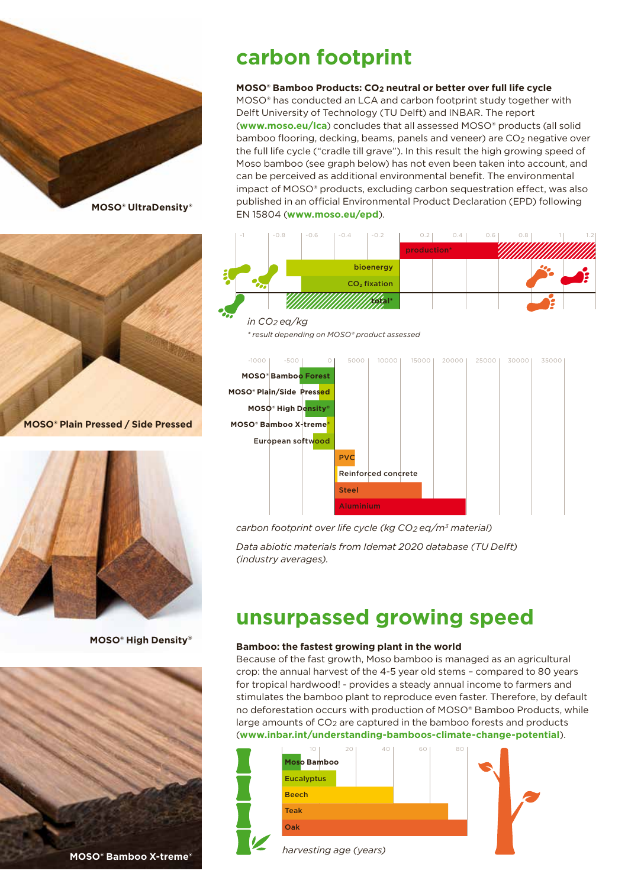



**MOSO® Plain Pressed / Side Pressed**



**MOSO® High Density®**



# **carbon footprint**

### **MOSO® Bamboo Products: CO2 neutral or better over full life cycle**

MOSO® has conducted an LCA and carbon footprint study together with Delft University of Technology (TU Delft) and INBAR. The report (**www.moso.eu/lca**) concludes that all assessed MOSO® products (all solid bamboo flooring, decking, beams, panels and veneer) are CO<sub>2</sub> negative over the full life cycle ("cradle till grave"). In this result the high growing speed of Moso bamboo (see graph below) has not even been taken into account, and can be perceived as additional environmental benefit. The environmental impact of MOSO® products, excluding carbon sequestration effect, was also published in an official Environmental Product Declaration (EPD) following EN 15804 (**www.moso.eu/epd**).





*carbon footprint over life cycle (kg CO2 eq/m3 material)*

*Data abiotic materials from Idemat 2020 database (TU Delft) (industry averages).*

## **unsurpassed growing speed**

### **Bamboo: the fastest growing plant in the world**

Because of the fast growth, Moso bamboo is managed as an agricultural crop: the annual harvest of the 4-5 year old stems – compared to 80 years for tropical hardwood! - provides a steady annual income to farmers and stimulates the bamboo plant to reproduce even faster. Therefore, by default no deforestation occurs with production of MOSO® Bamboo Products, while large amounts of CO2 are captured in the bamboo forests and products (**www.inbar.int/understanding-bamboos-climate-change-potential**).